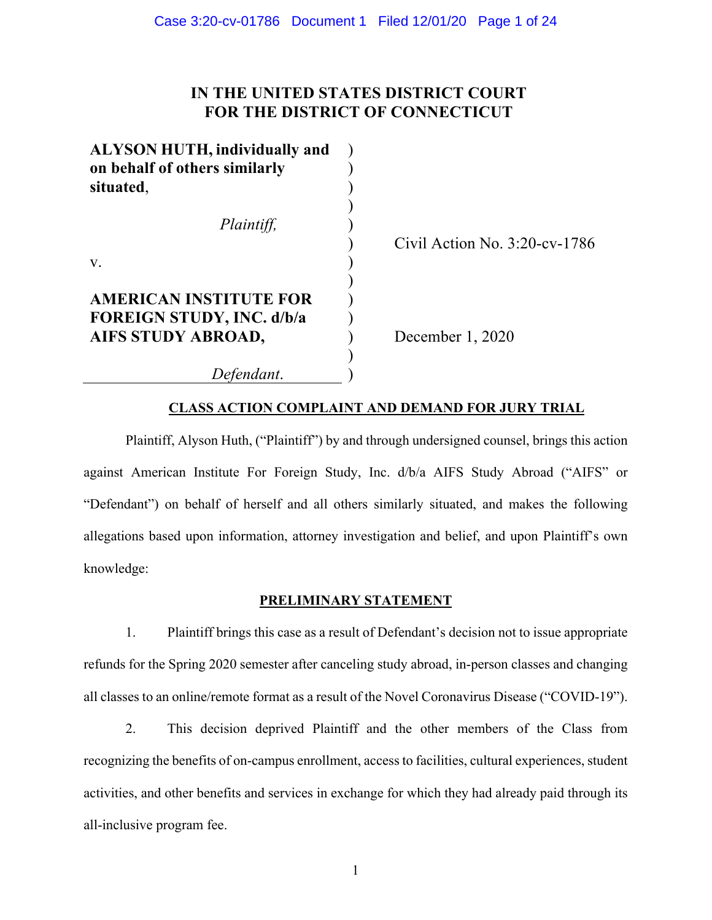# **IN THE UNITED STATES DISTRICT COURT FOR THE DISTRICT OF CONNECTICUT**

| <b>ALYSON HUTH, individually and</b> |  |
|--------------------------------------|--|
| on behalf of others similarly        |  |
| situated,                            |  |
|                                      |  |
| Plaintiff,                           |  |
|                                      |  |
| V.                                   |  |
|                                      |  |
| <b>AMERICAN INSTITUTE FOR</b>        |  |
| <b>FOREIGN STUDY, INC. d/b/a</b>     |  |
| AIFS STUDY ABROAD,                   |  |
|                                      |  |
| Defendant.                           |  |

Civil Action No. 3:20-cv-1786

December 1, 2020

# **CLASS ACTION COMPLAINT AND DEMAND FOR JURY TRIAL**

Plaintiff, Alyson Huth, ("Plaintiff") by and through undersigned counsel, brings this action against American Institute For Foreign Study, Inc. d/b/a AIFS Study Abroad ("AIFS" or "Defendant") on behalf of herself and all others similarly situated, and makes the following allegations based upon information, attorney investigation and belief, and upon Plaintiff's own knowledge:

# **PRELIMINARY STATEMENT**

1. Plaintiff brings this case as a result of Defendant's decision not to issue appropriate refunds for the Spring 2020 semester after canceling study abroad, in-person classes and changing all classes to an online/remote format as a result of the Novel Coronavirus Disease ("COVID-19").

2. This decision deprived Plaintiff and the other members of the Class from recognizing the benefits of on-campus enrollment, access to facilities, cultural experiences, student activities, and other benefits and services in exchange for which they had already paid through its all-inclusive program fee.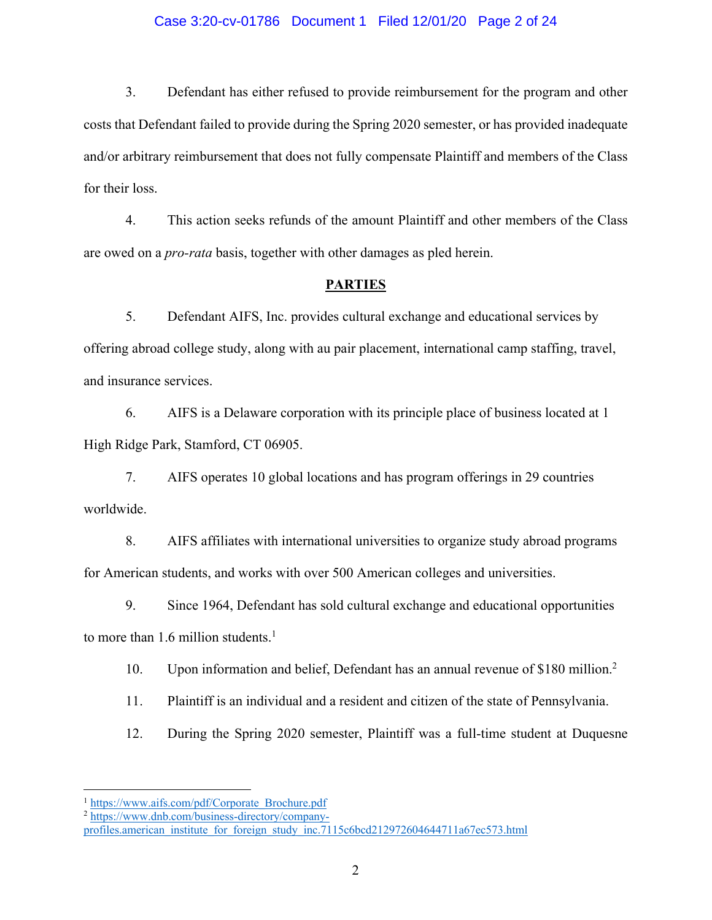#### Case 3:20-cv-01786 Document 1 Filed 12/01/20 Page 2 of 24

3. Defendant has either refused to provide reimbursement for the program and other costs that Defendant failed to provide during the Spring 2020 semester, or has provided inadequate and/or arbitrary reimbursement that does not fully compensate Plaintiff and members of the Class for their loss.

4. This action seeks refunds of the amount Plaintiff and other members of the Class are owed on a *pro-rata* basis, together with other damages as pled herein.

#### **PARTIES**

5. Defendant AIFS, Inc. provides cultural exchange and educational services by offering abroad college study, along with au pair placement, international camp staffing, travel, and insurance services.

6. AIFS is a Delaware corporation with its principle place of business located at 1 High Ridge Park, Stamford, CT 06905.

7. AIFS operates 10 global locations and has program offerings in 29 countries worldwide.

8. AIFS affiliates with international universities to organize study abroad programs for American students, and works with over 500 American colleges and universities.

9. Since 1964, Defendant has sold cultural exchange and educational opportunities

to more than 1.6 million students.<sup>1</sup>

10. Upon information and belief, Defendant has an annual revenue of \$180 million. 2

11. Plaintiff is an individual and a resident and citizen of the state of Pennsylvania.

12. During the Spring 2020 semester, Plaintiff was a full-time student at Duquesne

<sup>&</sup>lt;sup>1</sup> https://www.aifs.com/pdf/Corporate\_Brochure.pdf

<sup>&</sup>lt;sup>2</sup> https://www.dnb.com/business-directory/company-

profiles.american\_institute\_for\_foreign\_study\_inc.7115c6bcd212972604644711a67ec573.html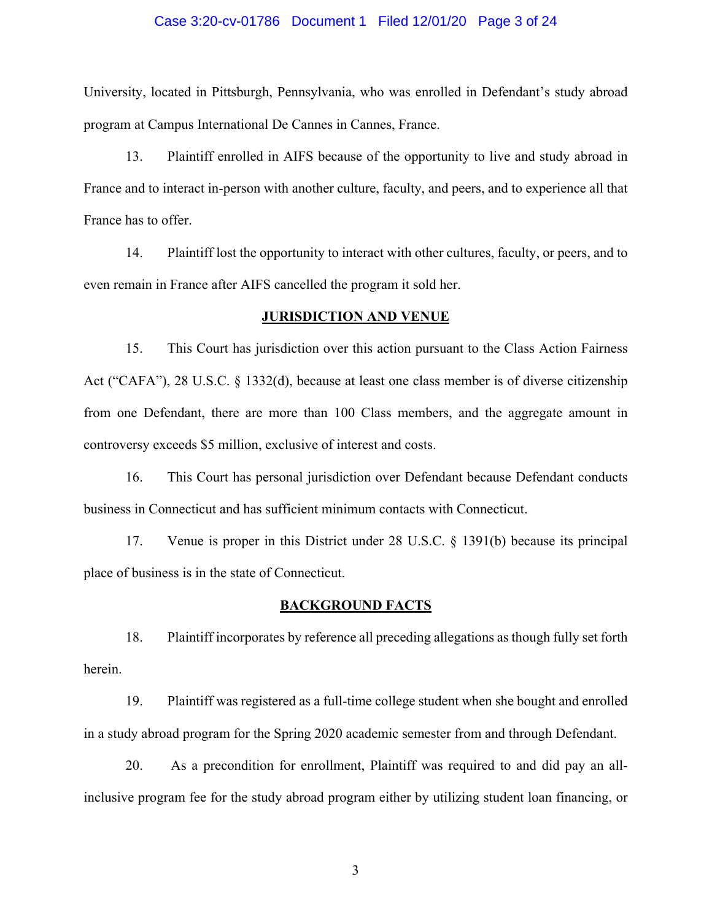#### Case 3:20-cv-01786 Document 1 Filed 12/01/20 Page 3 of 24

University, located in Pittsburgh, Pennsylvania, who was enrolled in Defendant's study abroad program at Campus International De Cannes in Cannes, France.

13. Plaintiff enrolled in AIFS because of the opportunity to live and study abroad in France and to interact in-person with another culture, faculty, and peers, and to experience all that France has to offer.

14. Plaintiff lost the opportunity to interact with other cultures, faculty, or peers, and to even remain in France after AIFS cancelled the program it sold her.

#### **JURISDICTION AND VENUE**

15. This Court has jurisdiction over this action pursuant to the Class Action Fairness Act ("CAFA"), 28 U.S.C. § 1332(d), because at least one class member is of diverse citizenship from one Defendant, there are more than 100 Class members, and the aggregate amount in controversy exceeds \$5 million, exclusive of interest and costs.

16. This Court has personal jurisdiction over Defendant because Defendant conducts business in Connecticut and has sufficient minimum contacts with Connecticut.

17. Venue is proper in this District under 28 U.S.C. § 1391(b) because its principal place of business is in the state of Connecticut.

#### **BACKGROUND FACTS**

18. Plaintiff incorporates by reference all preceding allegations as though fully set forth herein.

19. Plaintiff was registered as a full-time college student when she bought and enrolled in a study abroad program for the Spring 2020 academic semester from and through Defendant.

20. As a precondition for enrollment, Plaintiff was required to and did pay an allinclusive program fee for the study abroad program either by utilizing student loan financing, or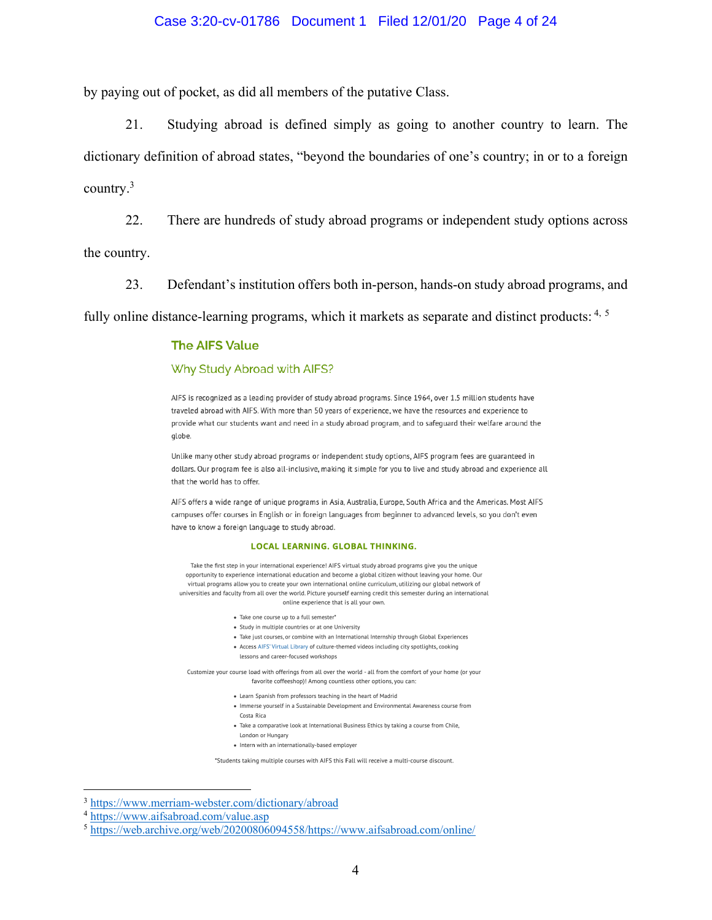#### Case 3:20-cv-01786 Document 1 Filed 12/01/20 Page 4 of 24

by paying out of pocket, as did all members of the putative Class.

21. Studying abroad is defined simply as going to another country to learn. The dictionary definition of abroad states, "beyond the boundaries of one's country; in or to a foreign country.3

22. There are hundreds of study abroad programs or independent study options across

the country.

23. Defendant's institution offers both in-person, hands-on study abroad programs, and

fully online distance-learning programs, which it markets as separate and distinct products:  $4, 5$ 

#### **The AIFS Value**

#### Why Study Abroad with AIFS?

AIFS is recognized as a leading provider of study abroad programs. Since 1964, over 1.5 million students have traveled abroad with AIFS. With more than 50 years of experience, we have the resources and experience to provide what our students want and need in a study abroad program, and to safeguard their welfare around the alobe.

Unlike many other study abroad programs or independent study options, AIFS program fees are guaranteed in dollars. Our program fee is also all-inclusive, making it simple for you to live and study abroad and experience all that the world has to offer.

AIFS offers a wide range of unique programs in Asia, Australia, Europe, South Africa and the Americas. Most AIFS campuses offer courses in English or in foreign languages from beginner to advanced levels, so you don't even have to know a foreign language to study abroad.

#### **LOCAL LEARNING, GLOBAL THINKING.**

Take the first step in your international experience! AIFS virtual study abroad programs give you the unique opportunity to experience international education and become a global citizen without leaving your home. Our virtual programs allow you to create your own international online curriculum, utilizing our global network of universities and faculty from all over the world. Picture yourself earning credit this semester during an international online experience that is all your own.

- · Take one course up to a full semester'
- Study in multiple countries or at one University
- Take just courses, or combine with an International Internship through Global Experiences
- Access AIFS' Virtual Library of culture-themed videos including city spotlights, cooking
- lessons and career-focused workshops

Customize your course load with offerings from all over the world - all from the comfort of your home (or your favorite coffeeshop)! Among countless other options, you can:

- Learn Spanish from professors teaching in the heart of Madrid
- Immerse yourself in a Sustainable Development and Environmental Awareness course from Costa Rica
- Take a comparative look at International Business Ethics by taking a course from Chile,
- London or Hungary
- Intern with an internationally-based employer

\*Students taking multiple courses with AIFS this Fall will receive a multi-course discount.

<sup>3</sup> https://www.merriam-webster.com/dictionary/abroad

<sup>4</sup> https://www.aifsabroad.com/value.asp

<sup>5</sup> https://web.archive.org/web/20200806094558/https://www.aifsabroad.com/online/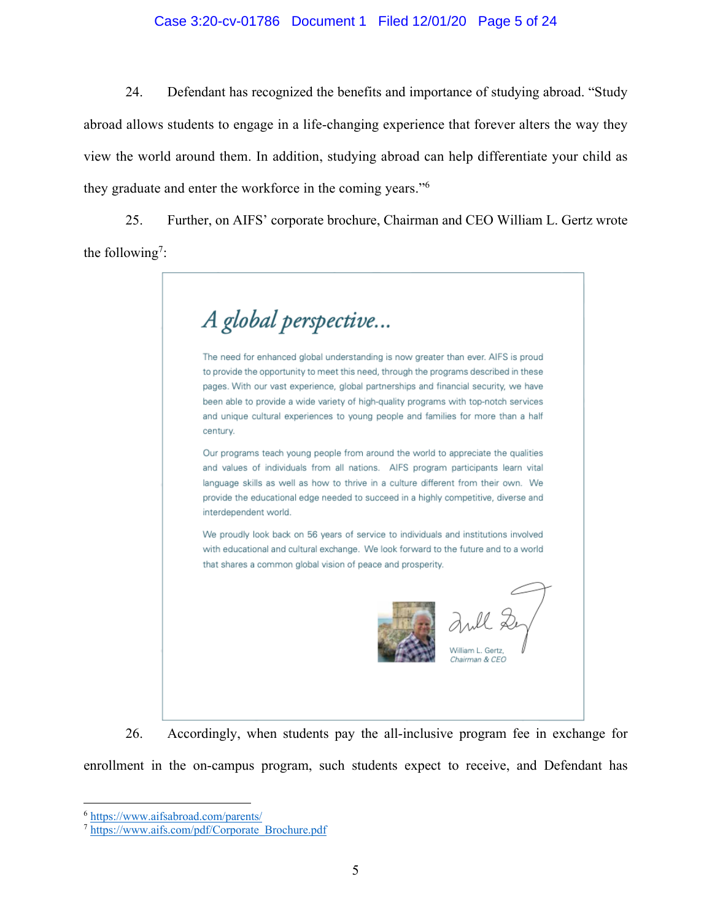#### Case 3:20-cv-01786 Document 1 Filed 12/01/20 Page 5 of 24

24. Defendant has recognized the benefits and importance of studying abroad. "Study abroad allows students to engage in a life-changing experience that forever alters the way they view the world around them. In addition, studying abroad can help differentiate your child as they graduate and enter the workforce in the coming years."6

25. Further, on AIFS' corporate brochure, Chairman and CEO William L. Gertz wrote the following<sup>7</sup>:

A global perspective... The need for enhanced global understanding is now greater than ever. AIFS is proud to provide the opportunity to meet this need, through the programs described in these pages. With our vast experience, global partnerships and financial security, we have been able to provide a wide variety of high-quality programs with top-notch services and unique cultural experiences to young people and families for more than a half century. Our programs teach young people from around the world to appreciate the qualities and values of individuals from all nations. AIFS program participants learn vital language skills as well as how to thrive in a culture different from their own. We provide the educational edge needed to succeed in a highly competitive, diverse and interdependent world. We proudly look back on 56 years of service to individuals and institutions involved with educational and cultural exchange. We look forward to the future and to a world that shares a common global vision of peace and prosperity. William L. Gertz Chairman & CEO

26. Accordingly, when students pay the all-inclusive program fee in exchange for enrollment in the on-campus program, such students expect to receive, and Defendant has

<sup>6</sup> https://www.aifsabroad.com/parents/

<sup>7</sup> https://www.aifs.com/pdf/Corporate\_Brochure.pdf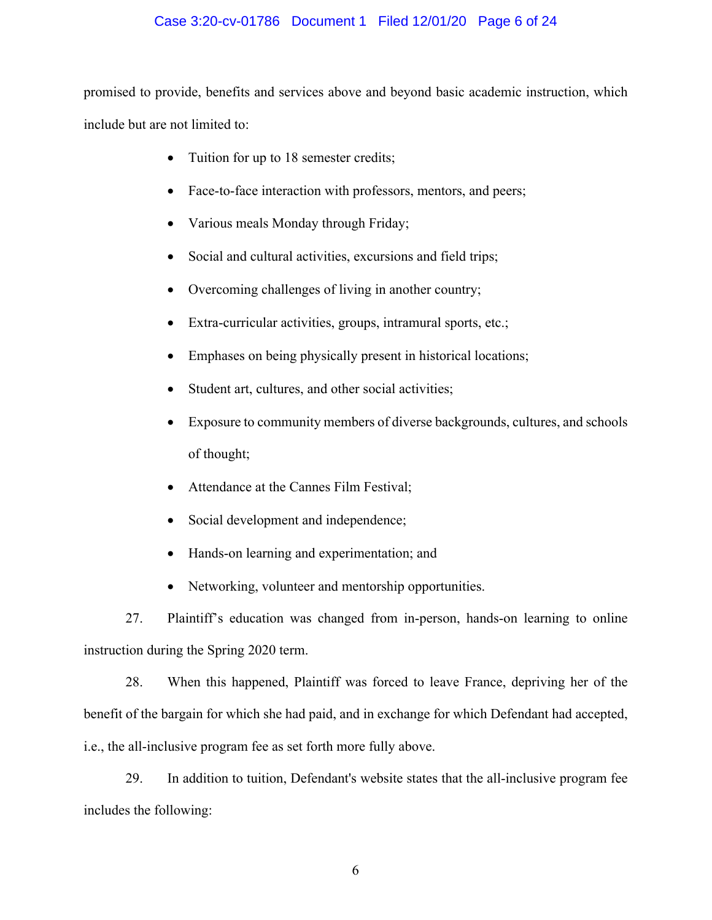# Case 3:20-cv-01786 Document 1 Filed 12/01/20 Page 6 of 24

promised to provide, benefits and services above and beyond basic academic instruction, which include but are not limited to:

- Tuition for up to 18 semester credits;
- Face-to-face interaction with professors, mentors, and peers;
- Various meals Monday through Friday;
- Social and cultural activities, excursions and field trips;
- Overcoming challenges of living in another country;
- Extra-curricular activities, groups, intramural sports, etc.;
- Emphases on being physically present in historical locations;
- Student art, cultures, and other social activities;
- Exposure to community members of diverse backgrounds, cultures, and schools of thought;
- Attendance at the Cannes Film Festival;
- Social development and independence;
- Hands-on learning and experimentation; and
- Networking, volunteer and mentorship opportunities.

27. Plaintiff's education was changed from in-person, hands-on learning to online instruction during the Spring 2020 term.

28. When this happened, Plaintiff was forced to leave France, depriving her of the benefit of the bargain for which she had paid, and in exchange for which Defendant had accepted, i.e., the all-inclusive program fee as set forth more fully above.

29. In addition to tuition, Defendant's website states that the all-inclusive program fee includes the following: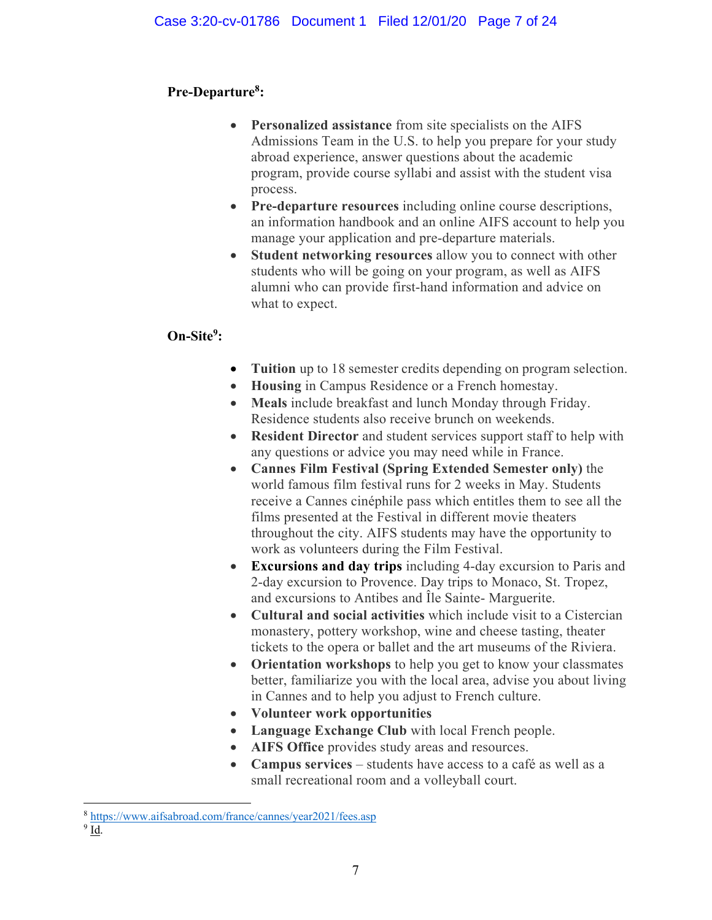# **Pre-Departure8 :**

- **Personalized assistance** from site specialists on the AIFS Admissions Team in the U.S. to help you prepare for your study abroad experience, answer questions about the academic program, provide course syllabi and assist with the student visa process.
- **Pre-departure resources** including online course descriptions, an information handbook and an online AIFS account to help you manage your application and pre-departure materials.
- **Student networking resources** allow you to connect with other students who will be going on your program, as well as AIFS alumni who can provide first-hand information and advice on what to expect.

# **On-Site9 :**

- **Tuition** up to 18 semester credits depending on program selection.
- **Housing** in Campus Residence or a French homestay.
- **Meals** include breakfast and lunch Monday through Friday. Residence students also receive brunch on weekends.
- **Resident Director** and student services support staff to help with any questions or advice you may need while in France.
- **Cannes Film Festival (Spring Extended Semester only)** the world famous film festival runs for 2 weeks in May. Students receive a Cannes cinéphile pass which entitles them to see all the films presented at the Festival in different movie theaters throughout the city. AIFS students may have the opportunity to work as volunteers during the Film Festival.
- **Excursions and day trips** including 4-day excursion to Paris and 2-day excursion to Provence. Day trips to Monaco, St. Tropez, and excursions to Antibes and Île Sainte- Marguerite.
- **Cultural and social activities** which include visit to a Cistercian monastery, pottery workshop, wine and cheese tasting, theater tickets to the opera or ballet and the art museums of the Riviera.
- **Orientation workshops** to help you get to know your classmates better, familiarize you with the local area, advise you about living in Cannes and to help you adjust to French culture.
- **Volunteer work opportunities**
- **Language Exchange Club** with local French people.
- **AIFS Office** provides study areas and resources.
- **Campus services** students have access to a café as well as a small recreational room and a volleyball court.

<sup>8</sup> https://www.aifsabroad.com/france/cannes/year2021/fees.asp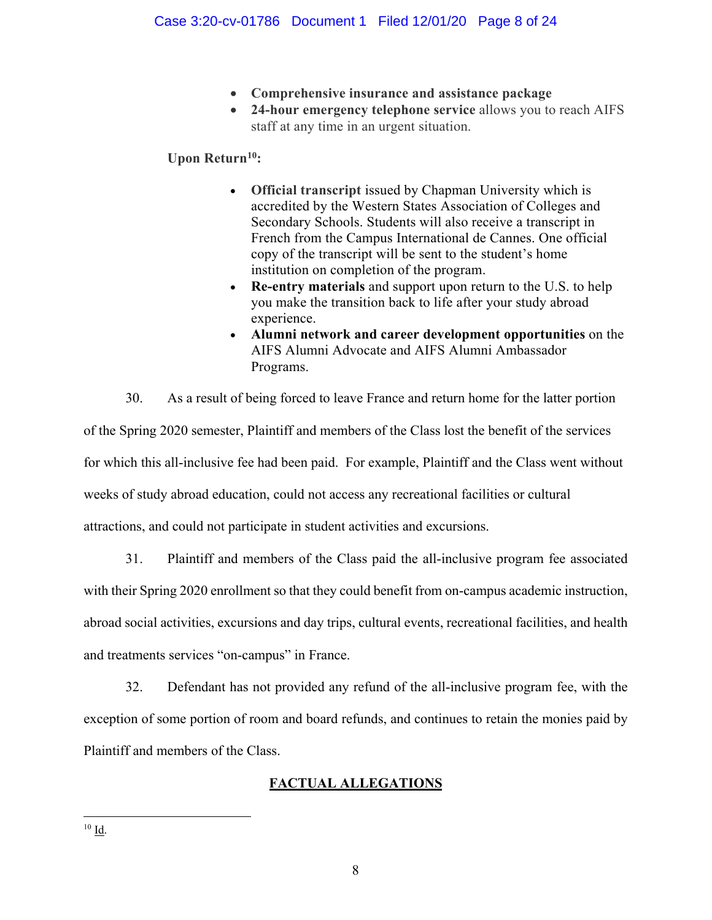- **Comprehensive insurance and assistance package**
- **24-hour emergency telephone service** allows you to reach AIFS staff at any time in an urgent situation.

# **Upon Return10:**

- **Official transcript** issued by Chapman University which is accredited by the Western States Association of Colleges and Secondary Schools. Students will also receive a transcript in French from the Campus International de Cannes. One official copy of the transcript will be sent to the student's home institution on completion of the program.
- **Re-entry materials** and support upon return to the U.S. to help you make the transition back to life after your study abroad experience.
- **Alumni network and career development opportunities** on the AIFS Alumni Advocate and AIFS Alumni Ambassador Programs.

30. As a result of being forced to leave France and return home for the latter portion of the Spring 2020 semester, Plaintiff and members of the Class lost the benefit of the services for which this all-inclusive fee had been paid. For example, Plaintiff and the Class went without weeks of study abroad education, could not access any recreational facilities or cultural attractions, and could not participate in student activities and excursions.

31. Plaintiff and members of the Class paid the all-inclusive program fee associated with their Spring 2020 enrollment so that they could benefit from on-campus academic instruction, abroad social activities, excursions and day trips, cultural events, recreational facilities, and health and treatments services "on-campus" in France.

32. Defendant has not provided any refund of the all-inclusive program fee, with the exception of some portion of room and board refunds, and continues to retain the monies paid by Plaintiff and members of the Class.

# **FACTUAL ALLEGATIONS**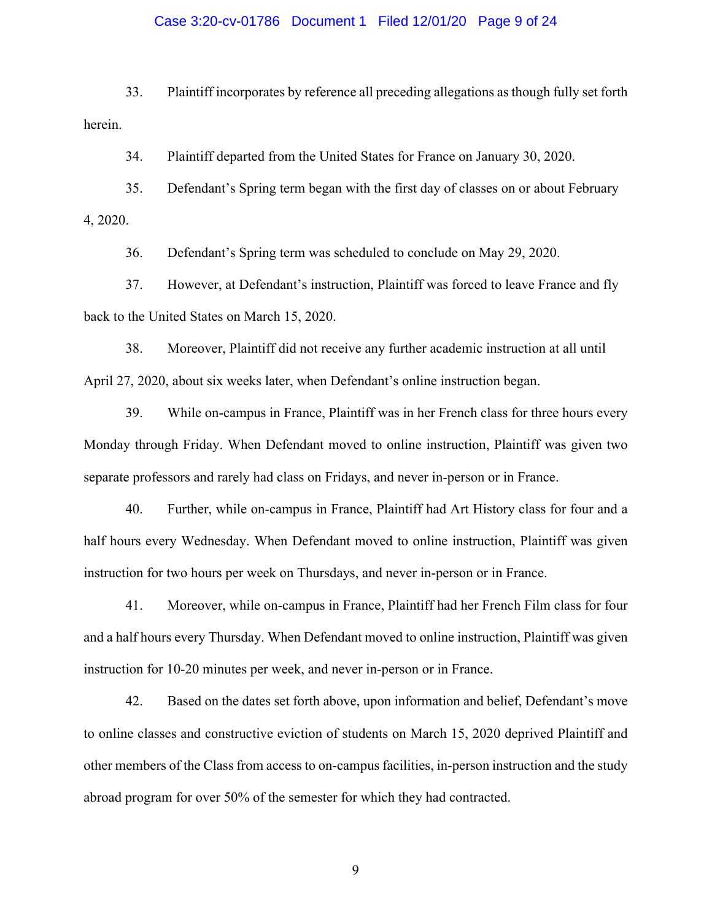#### Case 3:20-cv-01786 Document 1 Filed 12/01/20 Page 9 of 24

33. Plaintiff incorporates by reference all preceding allegations as though fully set forth herein.

34. Plaintiff departed from the United States for France on January 30, 2020.

35. Defendant's Spring term began with the first day of classes on or about February 4, 2020.

36. Defendant's Spring term was scheduled to conclude on May 29, 2020.

37. However, at Defendant's instruction, Plaintiff was forced to leave France and fly back to the United States on March 15, 2020.

38. Moreover, Plaintiff did not receive any further academic instruction at all until April 27, 2020, about six weeks later, when Defendant's online instruction began.

39. While on-campus in France, Plaintiff was in her French class for three hours every Monday through Friday. When Defendant moved to online instruction, Plaintiff was given two separate professors and rarely had class on Fridays, and never in-person or in France.

40. Further, while on-campus in France, Plaintiff had Art History class for four and a half hours every Wednesday. When Defendant moved to online instruction, Plaintiff was given instruction for two hours per week on Thursdays, and never in-person or in France.

41. Moreover, while on-campus in France, Plaintiff had her French Film class for four and a half hours every Thursday. When Defendant moved to online instruction, Plaintiff was given instruction for 10-20 minutes per week, and never in-person or in France.

42. Based on the dates set forth above, upon information and belief, Defendant's move to online classes and constructive eviction of students on March 15, 2020 deprived Plaintiff and other members of the Class from access to on-campus facilities, in-person instruction and the study abroad program for over 50% of the semester for which they had contracted.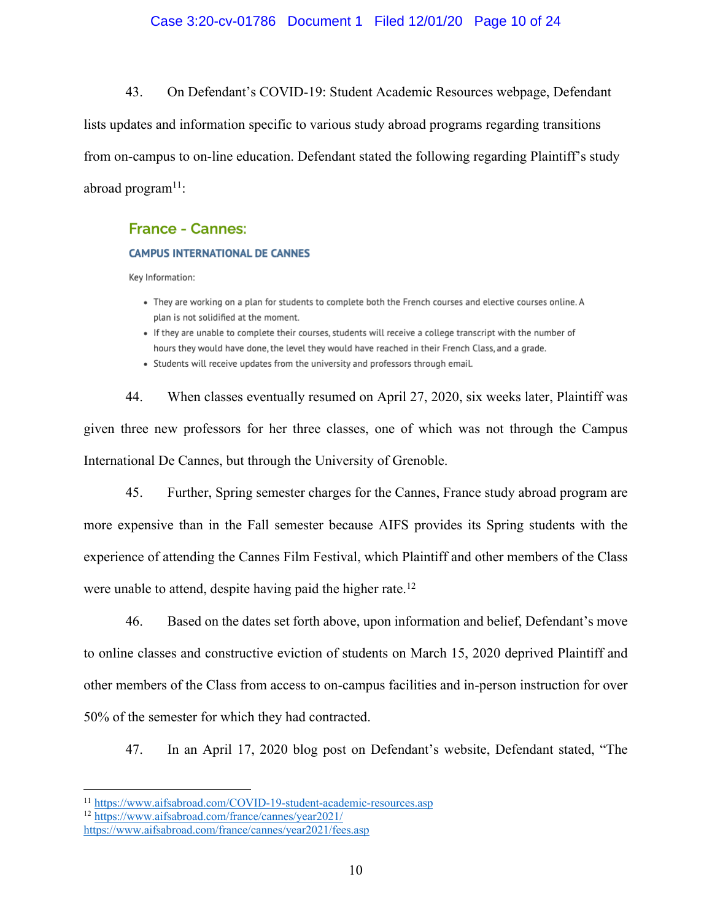#### Case 3:20-cv-01786 Document 1 Filed 12/01/20 Page 10 of 24

43. On Defendant's COVID-19: Student Academic Resources webpage, Defendant

lists updates and information specific to various study abroad programs regarding transitions from on-campus to on-line education. Defendant stated the following regarding Plaintiff's study abroad program $11$ :

### **France - Cannes:**

#### **CAMPUS INTERNATIONAL DE CANNES**

Kev Information:

- They are working on a plan for students to complete both the French courses and elective courses online. A plan is not solidified at the moment.
- If they are unable to complete their courses, students will receive a college transcript with the number of hours they would have done, the level they would have reached in their French Class, and a grade.
- Students will receive updates from the university and professors through email.

44. When classes eventually resumed on April 27, 2020, six weeks later, Plaintiff was given three new professors for her three classes, one of which was not through the Campus International De Cannes, but through the University of Grenoble.

45. Further, Spring semester charges for the Cannes, France study abroad program are more expensive than in the Fall semester because AIFS provides its Spring students with the experience of attending the Cannes Film Festival, which Plaintiff and other members of the Class were unable to attend, despite having paid the higher rate.<sup>12</sup>

46. Based on the dates set forth above, upon information and belief, Defendant's move to online classes and constructive eviction of students on March 15, 2020 deprived Plaintiff and other members of the Class from access to on-campus facilities and in-person instruction for over 50% of the semester for which they had contracted.

47. In an April 17, 2020 blog post on Defendant's website, Defendant stated, "The

<sup>11</sup> https://www.aifsabroad.com/COVID-19-student-academic-resources.asp

<sup>12</sup> https://www.aifsabroad.com/france/cannes/year2021/

https://www.aifsabroad.com/france/cannes/year2021/fees.asp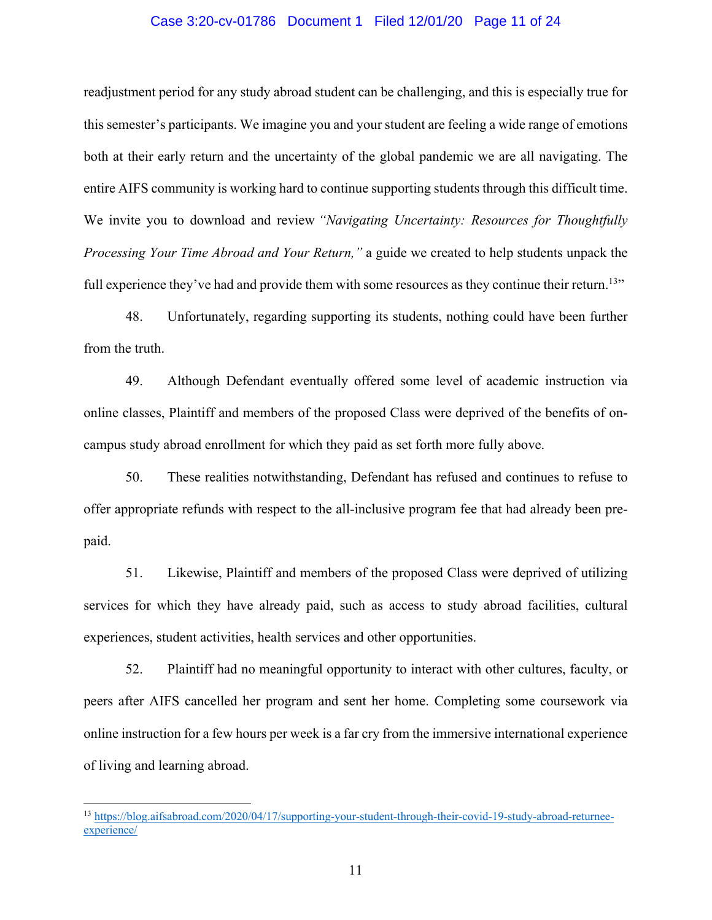#### Case 3:20-cv-01786 Document 1 Filed 12/01/20 Page 11 of 24

readjustment period for any study abroad student can be challenging, and this is especially true for this semester's participants. We imagine you and your student are feeling a wide range of emotions both at their early return and the uncertainty of the global pandemic we are all navigating. The entire AIFS community is working hard to continue supporting students through this difficult time. We invite you to download and review *"Navigating Uncertainty: Resources for Thoughtfully Processing Your Time Abroad and Your Return,"* a guide we created to help students unpack the full experience they've had and provide them with some resources as they continue their return.<sup>13</sup>"

48. Unfortunately, regarding supporting its students, nothing could have been further from the truth.

49. Although Defendant eventually offered some level of academic instruction via online classes, Plaintiff and members of the proposed Class were deprived of the benefits of oncampus study abroad enrollment for which they paid as set forth more fully above.

50. These realities notwithstanding, Defendant has refused and continues to refuse to offer appropriate refunds with respect to the all-inclusive program fee that had already been prepaid.

51. Likewise, Plaintiff and members of the proposed Class were deprived of utilizing services for which they have already paid, such as access to study abroad facilities, cultural experiences, student activities, health services and other opportunities.

52. Plaintiff had no meaningful opportunity to interact with other cultures, faculty, or peers after AIFS cancelled her program and sent her home. Completing some coursework via online instruction for a few hours per week is a far cry from the immersive international experience of living and learning abroad.

<sup>13</sup> https://blog.aifsabroad.com/2020/04/17/supporting-your-student-through-their-covid-19-study-abroad-returneeexperience/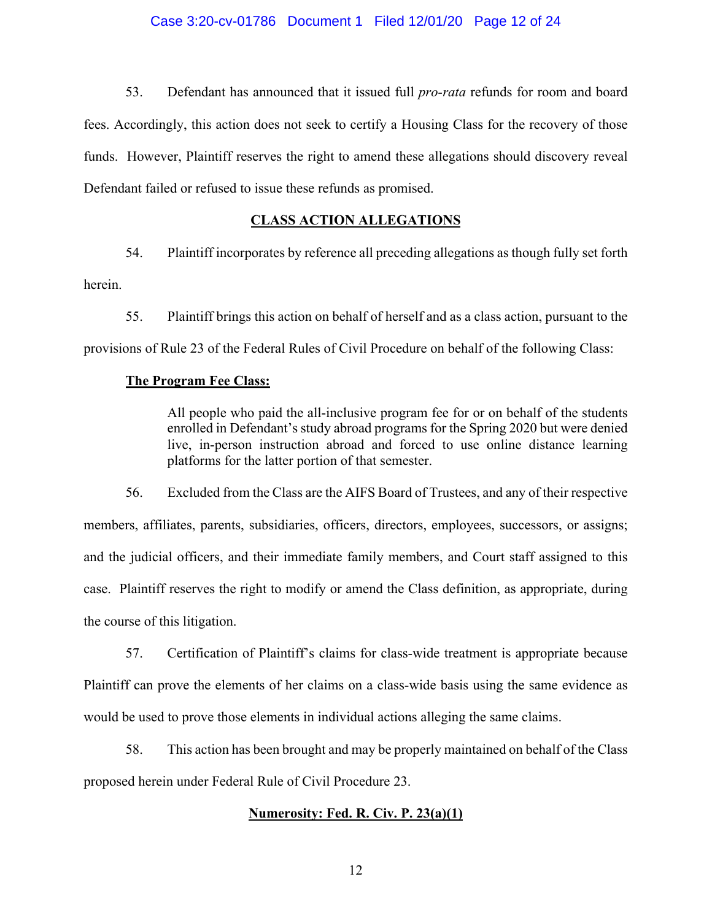#### Case 3:20-cv-01786 Document 1 Filed 12/01/20 Page 12 of 24

53. Defendant has announced that it issued full *pro-rata* refunds for room and board fees. Accordingly, this action does not seek to certify a Housing Class for the recovery of those funds. However, Plaintiff reserves the right to amend these allegations should discovery reveal Defendant failed or refused to issue these refunds as promised.

#### **CLASS ACTION ALLEGATIONS**

54. Plaintiff incorporates by reference all preceding allegations as though fully set forth

herein.

55. Plaintiff brings this action on behalf of herself and as a class action, pursuant to the provisions of Rule 23 of the Federal Rules of Civil Procedure on behalf of the following Class:

#### **The Program Fee Class:**

All people who paid the all-inclusive program fee for or on behalf of the students enrolled in Defendant's study abroad programs for the Spring 2020 but were denied live, in-person instruction abroad and forced to use online distance learning platforms for the latter portion of that semester.

56. Excluded from the Class are the AIFS Board of Trustees, and any of their respective members, affiliates, parents, subsidiaries, officers, directors, employees, successors, or assigns; and the judicial officers, and their immediate family members, and Court staff assigned to this case. Plaintiff reserves the right to modify or amend the Class definition, as appropriate, during the course of this litigation.

57. Certification of Plaintiff's claims for class-wide treatment is appropriate because Plaintiff can prove the elements of her claims on a class-wide basis using the same evidence as would be used to prove those elements in individual actions alleging the same claims.

58. This action has been brought and may be properly maintained on behalf of the Class proposed herein under Federal Rule of Civil Procedure 23.

#### **Numerosity: Fed. R. Civ. P. 23(a)(1)**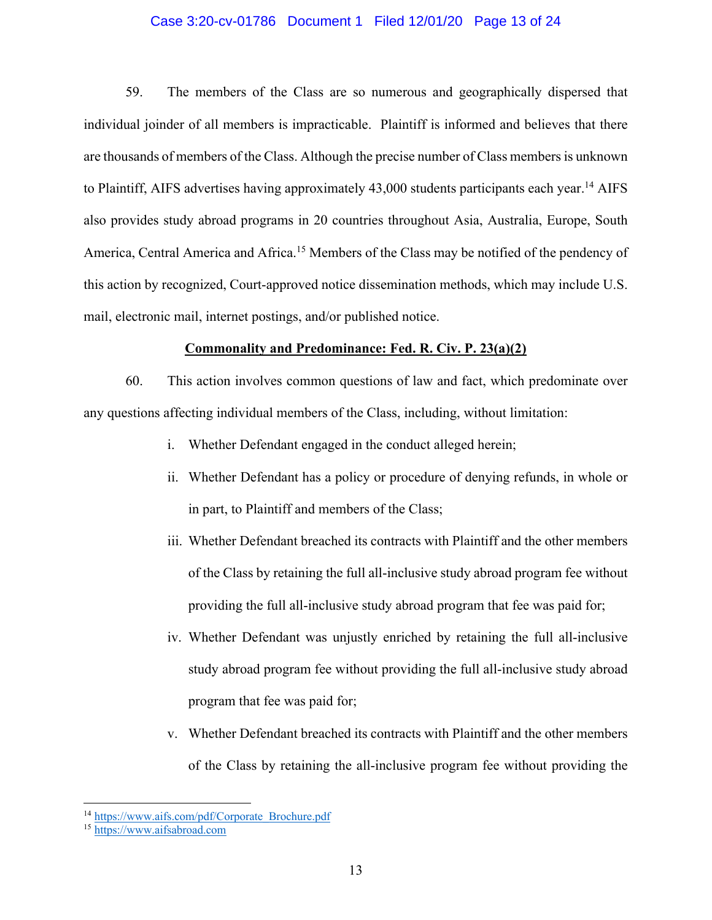#### Case 3:20-cv-01786 Document 1 Filed 12/01/20 Page 13 of 24

59. The members of the Class are so numerous and geographically dispersed that individual joinder of all members is impracticable. Plaintiff is informed and believes that there are thousands of members of the Class. Although the precise number of Class members is unknown to Plaintiff, AIFS advertises having approximately 43,000 students participants each year.<sup>14</sup> AIFS also provides study abroad programs in 20 countries throughout Asia, Australia, Europe, South America, Central America and Africa.<sup>15</sup> Members of the Class may be notified of the pendency of this action by recognized, Court-approved notice dissemination methods, which may include U.S. mail, electronic mail, internet postings, and/or published notice.

#### **Commonality and Predominance: Fed. R. Civ. P. 23(a)(2)**

60. This action involves common questions of law and fact, which predominate over any questions affecting individual members of the Class, including, without limitation:

- i. Whether Defendant engaged in the conduct alleged herein;
- ii. Whether Defendant has a policy or procedure of denying refunds, in whole or in part, to Plaintiff and members of the Class;
- iii. Whether Defendant breached its contracts with Plaintiff and the other members of the Class by retaining the full all-inclusive study abroad program fee without providing the full all-inclusive study abroad program that fee was paid for;
- iv. Whether Defendant was unjustly enriched by retaining the full all-inclusive study abroad program fee without providing the full all-inclusive study abroad program that fee was paid for;
- v. Whether Defendant breached its contracts with Plaintiff and the other members of the Class by retaining the all-inclusive program fee without providing the

<sup>&</sup>lt;sup>14</sup> https://www.aifs.com/pdf/Corporate\_Brochure.pdf

<sup>15</sup> https://www.aifsabroad.com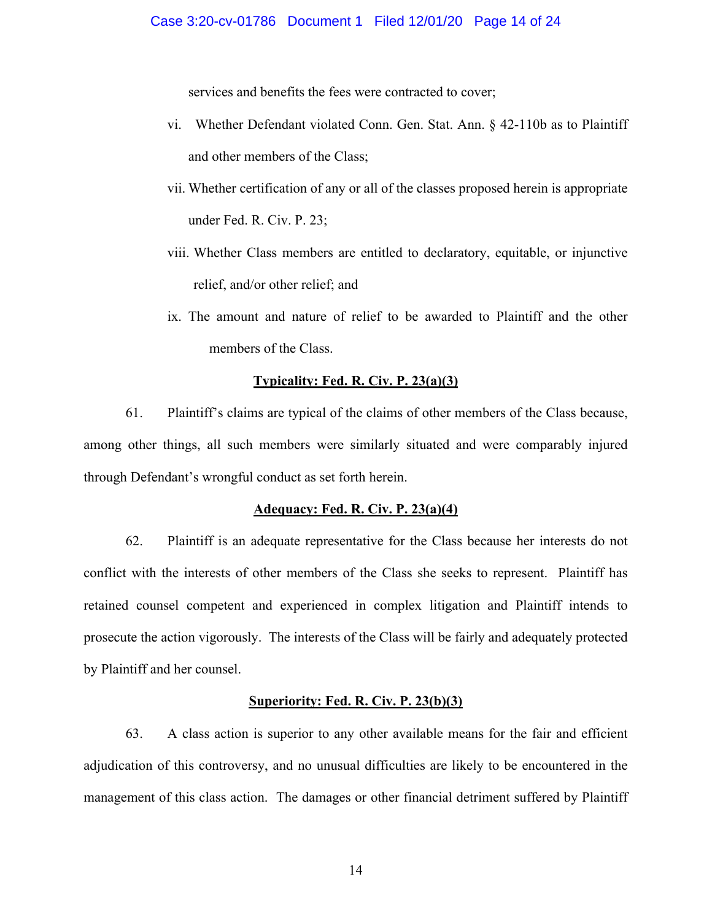services and benefits the fees were contracted to cover;

- vi. Whether Defendant violated Conn. Gen. Stat. Ann. § 42-110b as to Plaintiff and other members of the Class;
- vii. Whether certification of any or all of the classes proposed herein is appropriate under Fed. R. Civ. P. 23;
- viii. Whether Class members are entitled to declaratory, equitable, or injunctive relief, and/or other relief; and
- ix. The amount and nature of relief to be awarded to Plaintiff and the other members of the Class.

#### **Typicality: Fed. R. Civ. P. 23(a)(3)**

61. Plaintiff's claims are typical of the claims of other members of the Class because, among other things, all such members were similarly situated and were comparably injured through Defendant's wrongful conduct as set forth herein.

#### **Adequacy: Fed. R. Civ. P. 23(a)(4)**

62. Plaintiff is an adequate representative for the Class because her interests do not conflict with the interests of other members of the Class she seeks to represent. Plaintiff has retained counsel competent and experienced in complex litigation and Plaintiff intends to prosecute the action vigorously. The interests of the Class will be fairly and adequately protected by Plaintiff and her counsel.

#### **Superiority: Fed. R. Civ. P. 23(b)(3)**

63. A class action is superior to any other available means for the fair and efficient adjudication of this controversy, and no unusual difficulties are likely to be encountered in the management of this class action. The damages or other financial detriment suffered by Plaintiff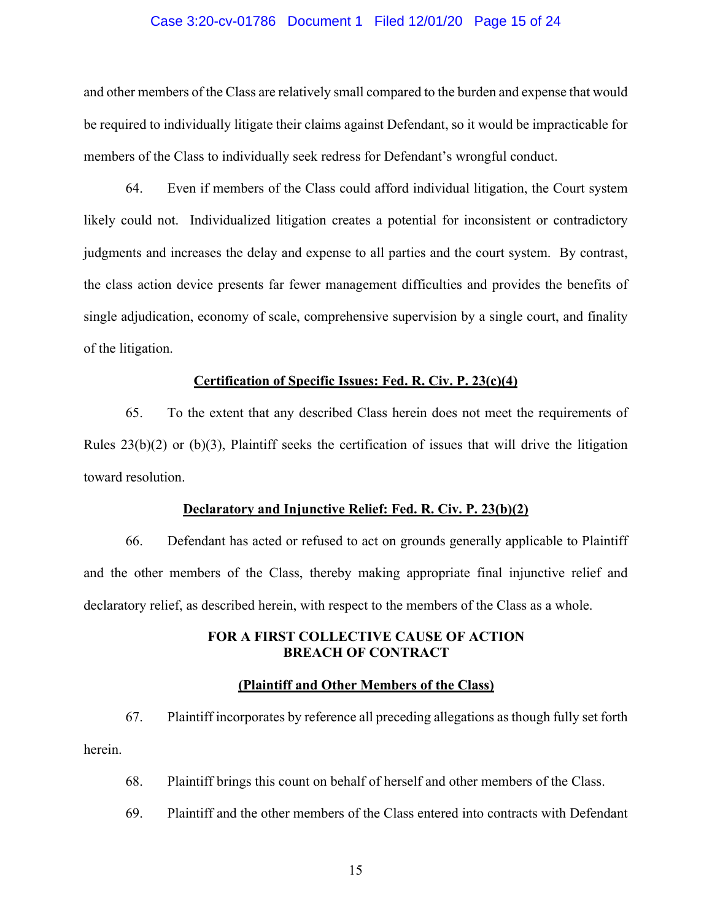#### Case 3:20-cv-01786 Document 1 Filed 12/01/20 Page 15 of 24

and other members of the Class are relatively small compared to the burden and expense that would be required to individually litigate their claims against Defendant, so it would be impracticable for members of the Class to individually seek redress for Defendant's wrongful conduct.

64. Even if members of the Class could afford individual litigation, the Court system likely could not. Individualized litigation creates a potential for inconsistent or contradictory judgments and increases the delay and expense to all parties and the court system. By contrast, the class action device presents far fewer management difficulties and provides the benefits of single adjudication, economy of scale, comprehensive supervision by a single court, and finality of the litigation.

#### **Certification of Specific Issues: Fed. R. Civ. P. 23(c)(4)**

65. To the extent that any described Class herein does not meet the requirements of Rules 23(b)(2) or (b)(3), Plaintiff seeks the certification of issues that will drive the litigation toward resolution.

#### **Declaratory and Injunctive Relief: Fed. R. Civ. P. 23(b)(2)**

66. Defendant has acted or refused to act on grounds generally applicable to Plaintiff and the other members of the Class, thereby making appropriate final injunctive relief and declaratory relief, as described herein, with respect to the members of the Class as a whole.

## **FOR A FIRST COLLECTIVE CAUSE OF ACTION BREACH OF CONTRACT**

#### **(Plaintiff and Other Members of the Class)**

67. Plaintiff incorporates by reference all preceding allegations as though fully set forth herein.

- 68. Plaintiff brings this count on behalf of herself and other members of the Class.
- 69. Plaintiff and the other members of the Class entered into contracts with Defendant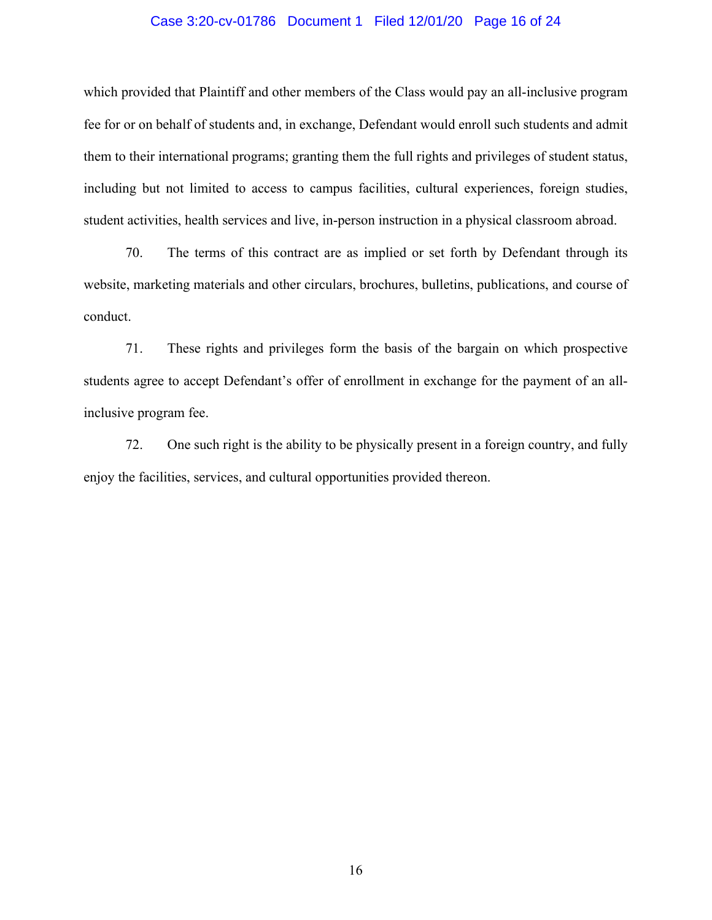#### Case 3:20-cv-01786 Document 1 Filed 12/01/20 Page 16 of 24

which provided that Plaintiff and other members of the Class would pay an all-inclusive program fee for or on behalf of students and, in exchange, Defendant would enroll such students and admit them to their international programs; granting them the full rights and privileges of student status, including but not limited to access to campus facilities, cultural experiences, foreign studies, student activities, health services and live, in-person instruction in a physical classroom abroad.

70. The terms of this contract are as implied or set forth by Defendant through its website, marketing materials and other circulars, brochures, bulletins, publications, and course of conduct.

71. These rights and privileges form the basis of the bargain on which prospective students agree to accept Defendant's offer of enrollment in exchange for the payment of an allinclusive program fee.

72. One such right is the ability to be physically present in a foreign country, and fully enjoy the facilities, services, and cultural opportunities provided thereon.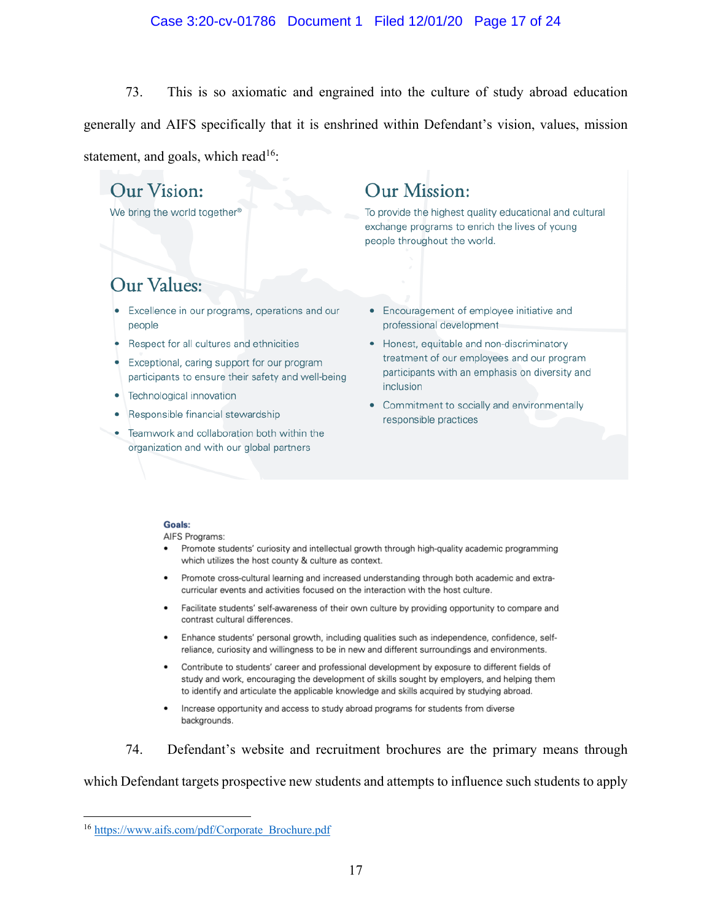#### Case 3:20-cv-01786 Document 1 Filed 12/01/20 Page 17 of 24

73. This is so axiomatic and engrained into the culture of study abroad education generally and AIFS specifically that it is enshrined within Defendant's vision, values, mission statement, and goals, which read<sup>16</sup>:

# Our Vision:

We bring the world together<sup>®</sup>

# Our Mission:

To provide the highest quality educational and cultural exchange programs to enrich the lives of young people throughout the world.

# Our Values:

- Excellence in our programs, operations and our people
- Respect for all cultures and ethnicities
- Exceptional, caring support for our program participants to ensure their safety and well-being
- Technological innovation
- Responsible financial stewardship
- Teamwork and collaboration both within the organization and with our global partners
- Encouragement of employee initiative and professional development
- Honest, equitable and non-discriminatory treatment of our employees and our program participants with an emphasis on diversity and inclusion
- Commitment to socially and environmentally responsible practices

#### Goals:

AIFS Programs:

- Promote students' curiosity and intellectual growth through high-quality academic programming which utilizes the host county & culture as context.
- Promote cross-cultural learning and increased understanding through both academic and extracurricular events and activities focused on the interaction with the host culture.
- Facilitate students' self-awareness of their own culture by providing opportunity to compare and contrast cultural differences.
- Enhance students' personal growth, including qualities such as independence, confidence, selfreliance, curiosity and willingness to be in new and different surroundings and environments.
- Contribute to students' career and professional development by exposure to different fields of study and work, encouraging the development of skills sought by employers, and helping them to identify and articulate the applicable knowledge and skills acquired by studying abroad.
- Increase opportunity and access to study abroad programs for students from diverse backgrounds.

74. Defendant's website and recruitment brochures are the primary means through

which Defendant targets prospective new students and attempts to influence such students to apply

<sup>16</sup> https://www.aifs.com/pdf/Corporate\_Brochure.pdf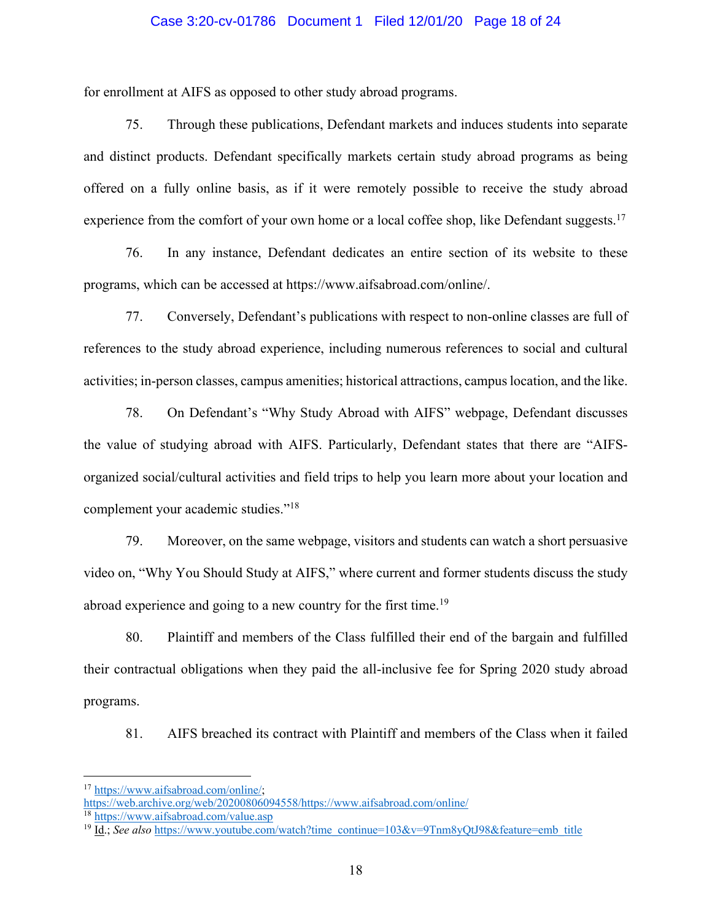#### Case 3:20-cv-01786 Document 1 Filed 12/01/20 Page 18 of 24

for enrollment at AIFS as opposed to other study abroad programs.

75. Through these publications, Defendant markets and induces students into separate and distinct products. Defendant specifically markets certain study abroad programs as being offered on a fully online basis, as if it were remotely possible to receive the study abroad experience from the comfort of your own home or a local coffee shop, like Defendant suggests.<sup>17</sup>

76. In any instance, Defendant dedicates an entire section of its website to these programs, which can be accessed at https://www.aifsabroad.com/online/.

77. Conversely, Defendant's publications with respect to non-online classes are full of references to the study abroad experience, including numerous references to social and cultural activities; in-person classes, campus amenities; historical attractions, campus location, and the like.

78. On Defendant's "Why Study Abroad with AIFS" webpage, Defendant discusses the value of studying abroad with AIFS. Particularly, Defendant states that there are "AIFSorganized social/cultural activities and field trips to help you learn more about your location and complement your academic studies."18

79. Moreover, on the same webpage, visitors and students can watch a short persuasive video on, "Why You Should Study at AIFS," where current and former students discuss the study abroad experience and going to a new country for the first time.<sup>19</sup>

80. Plaintiff and members of the Class fulfilled their end of the bargain and fulfilled their contractual obligations when they paid the all-inclusive fee for Spring 2020 study abroad programs.

81. AIFS breached its contract with Plaintiff and members of the Class when it failed

<sup>17</sup> https://www.aifsabroad.com/online/;

https://web.archive.org/web/20200806094558/https://www.aifsabroad.com/online/

<sup>18</sup> https://www.aifsabroad.com/value.asp

<sup>&</sup>lt;sup>19</sup> Id.; *See also* https://www.youtube.com/watch?time\_continue=103&v=9Tnm8yQtJ98&feature=emb\_title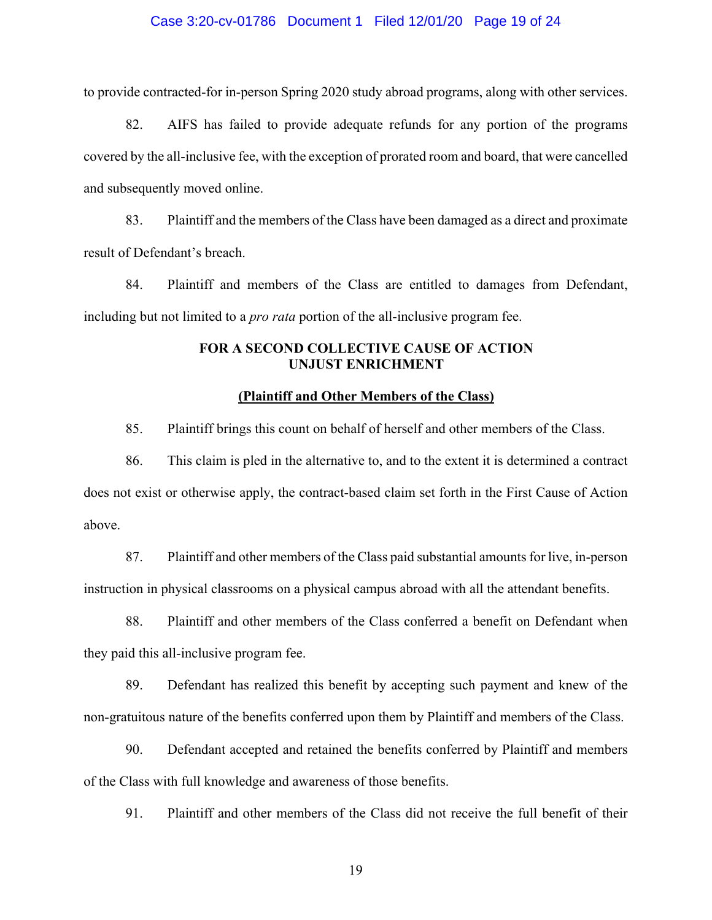#### Case 3:20-cv-01786 Document 1 Filed 12/01/20 Page 19 of 24

to provide contracted-for in-person Spring 2020 study abroad programs, along with other services.

82. AIFS has failed to provide adequate refunds for any portion of the programs covered by the all-inclusive fee, with the exception of prorated room and board, that were cancelled and subsequently moved online.

83. Plaintiff and the members of the Class have been damaged as a direct and proximate result of Defendant's breach.

84. Plaintiff and members of the Class are entitled to damages from Defendant, including but not limited to a *pro rata* portion of the all-inclusive program fee.

## **FOR A SECOND COLLECTIVE CAUSE OF ACTION UNJUST ENRICHMENT**

#### **(Plaintiff and Other Members of the Class)**

85. Plaintiff brings this count on behalf of herself and other members of the Class.

86. This claim is pled in the alternative to, and to the extent it is determined a contract does not exist or otherwise apply, the contract-based claim set forth in the First Cause of Action above.

87. Plaintiff and other members of the Class paid substantial amounts for live, in-person instruction in physical classrooms on a physical campus abroad with all the attendant benefits.

88. Plaintiff and other members of the Class conferred a benefit on Defendant when they paid this all-inclusive program fee.

89. Defendant has realized this benefit by accepting such payment and knew of the non-gratuitous nature of the benefits conferred upon them by Plaintiff and members of the Class.

90. Defendant accepted and retained the benefits conferred by Plaintiff and members of the Class with full knowledge and awareness of those benefits.

91. Plaintiff and other members of the Class did not receive the full benefit of their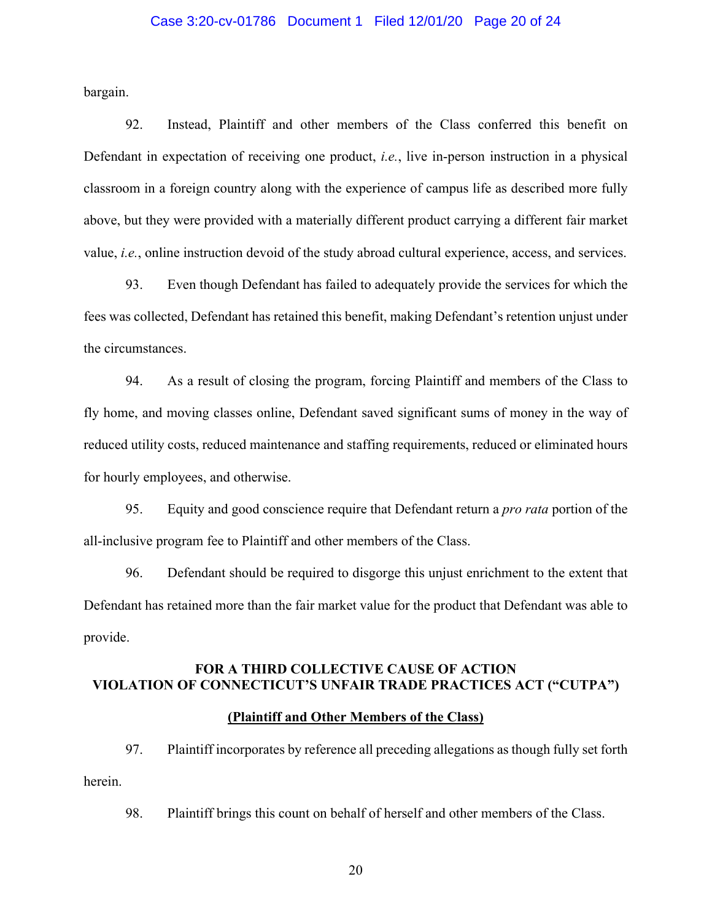#### Case 3:20-cv-01786 Document 1 Filed 12/01/20 Page 20 of 24

bargain.

92. Instead, Plaintiff and other members of the Class conferred this benefit on Defendant in expectation of receiving one product, *i.e.*, live in-person instruction in a physical classroom in a foreign country along with the experience of campus life as described more fully above, but they were provided with a materially different product carrying a different fair market value, *i.e.*, online instruction devoid of the study abroad cultural experience, access, and services.

93. Even though Defendant has failed to adequately provide the services for which the fees was collected, Defendant has retained this benefit, making Defendant's retention unjust under the circumstances.

94. As a result of closing the program, forcing Plaintiff and members of the Class to fly home, and moving classes online, Defendant saved significant sums of money in the way of reduced utility costs, reduced maintenance and staffing requirements, reduced or eliminated hours for hourly employees, and otherwise.

95. Equity and good conscience require that Defendant return a *pro rata* portion of the all-inclusive program fee to Plaintiff and other members of the Class.

96. Defendant should be required to disgorge this unjust enrichment to the extent that Defendant has retained more than the fair market value for the product that Defendant was able to provide.

# **FOR A THIRD COLLECTIVE CAUSE OF ACTION VIOLATION OF CONNECTICUT'S UNFAIR TRADE PRACTICES ACT ("CUTPA")**

# **(Plaintiff and Other Members of the Class)**

97. Plaintiff incorporates by reference all preceding allegations as though fully set forth herein.

98. Plaintiff brings this count on behalf of herself and other members of the Class.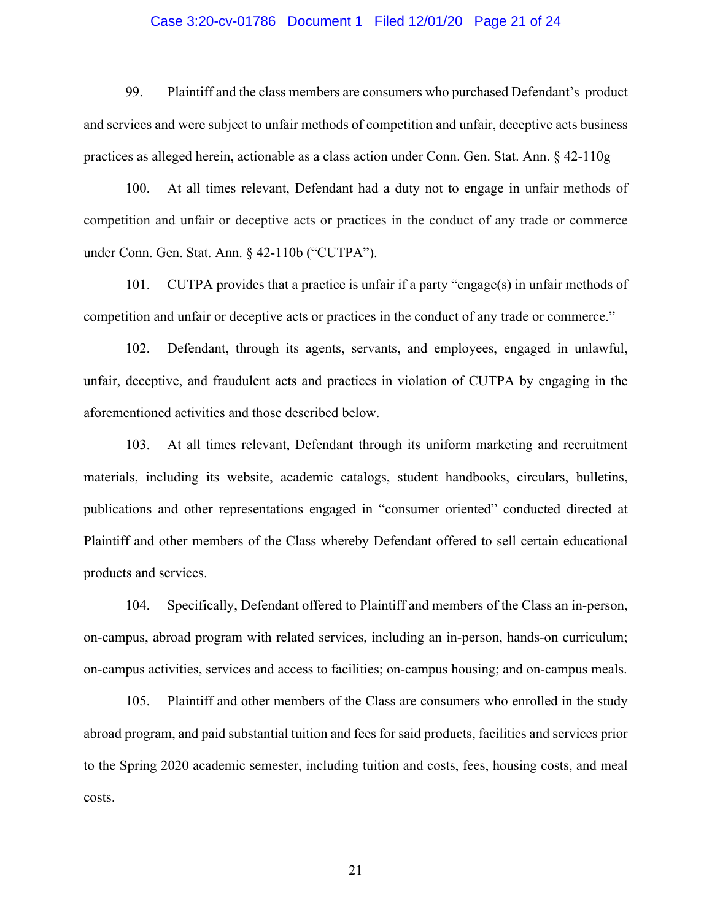#### Case 3:20-cv-01786 Document 1 Filed 12/01/20 Page 21 of 24

99. Plaintiff and the class members are consumers who purchased Defendant's product and services and were subject to unfair methods of competition and unfair, deceptive acts business practices as alleged herein, actionable as a class action under Conn. Gen. Stat. Ann. § 42-110g

100. At all times relevant, Defendant had a duty not to engage in unfair methods of competition and unfair or deceptive acts or practices in the conduct of any trade or commerce under Conn. Gen. Stat. Ann. § 42-110b ("CUTPA").

101. CUTPA provides that a practice is unfair if a party "engage(s) in unfair methods of competition and unfair or deceptive acts or practices in the conduct of any trade or commerce."

102. Defendant, through its agents, servants, and employees, engaged in unlawful, unfair, deceptive, and fraudulent acts and practices in violation of CUTPA by engaging in the aforementioned activities and those described below.

103. At all times relevant, Defendant through its uniform marketing and recruitment materials, including its website, academic catalogs, student handbooks, circulars, bulletins, publications and other representations engaged in "consumer oriented" conducted directed at Plaintiff and other members of the Class whereby Defendant offered to sell certain educational products and services.

104. Specifically, Defendant offered to Plaintiff and members of the Class an in-person, on-campus, abroad program with related services, including an in-person, hands-on curriculum; on-campus activities, services and access to facilities; on-campus housing; and on-campus meals.

105. Plaintiff and other members of the Class are consumers who enrolled in the study abroad program, and paid substantial tuition and fees for said products, facilities and services prior to the Spring 2020 academic semester, including tuition and costs, fees, housing costs, and meal costs.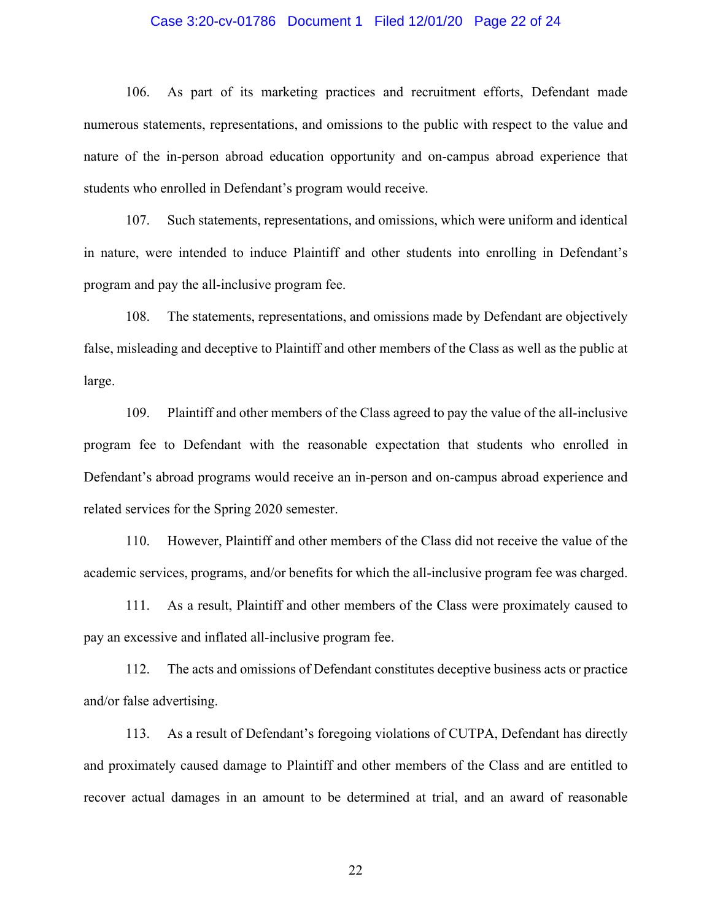#### Case 3:20-cv-01786 Document 1 Filed 12/01/20 Page 22 of 24

106. As part of its marketing practices and recruitment efforts, Defendant made numerous statements, representations, and omissions to the public with respect to the value and nature of the in-person abroad education opportunity and on-campus abroad experience that students who enrolled in Defendant's program would receive.

107. Such statements, representations, and omissions, which were uniform and identical in nature, were intended to induce Plaintiff and other students into enrolling in Defendant's program and pay the all-inclusive program fee.

108. The statements, representations, and omissions made by Defendant are objectively false, misleading and deceptive to Plaintiff and other members of the Class as well as the public at large.

109. Plaintiff and other members of the Class agreed to pay the value of the all-inclusive program fee to Defendant with the reasonable expectation that students who enrolled in Defendant's abroad programs would receive an in-person and on-campus abroad experience and related services for the Spring 2020 semester.

110. However, Plaintiff and other members of the Class did not receive the value of the academic services, programs, and/or benefits for which the all-inclusive program fee was charged.

111. As a result, Plaintiff and other members of the Class were proximately caused to pay an excessive and inflated all-inclusive program fee.

112. The acts and omissions of Defendant constitutes deceptive business acts or practice and/or false advertising.

113. As a result of Defendant's foregoing violations of CUTPA, Defendant has directly and proximately caused damage to Plaintiff and other members of the Class and are entitled to recover actual damages in an amount to be determined at trial, and an award of reasonable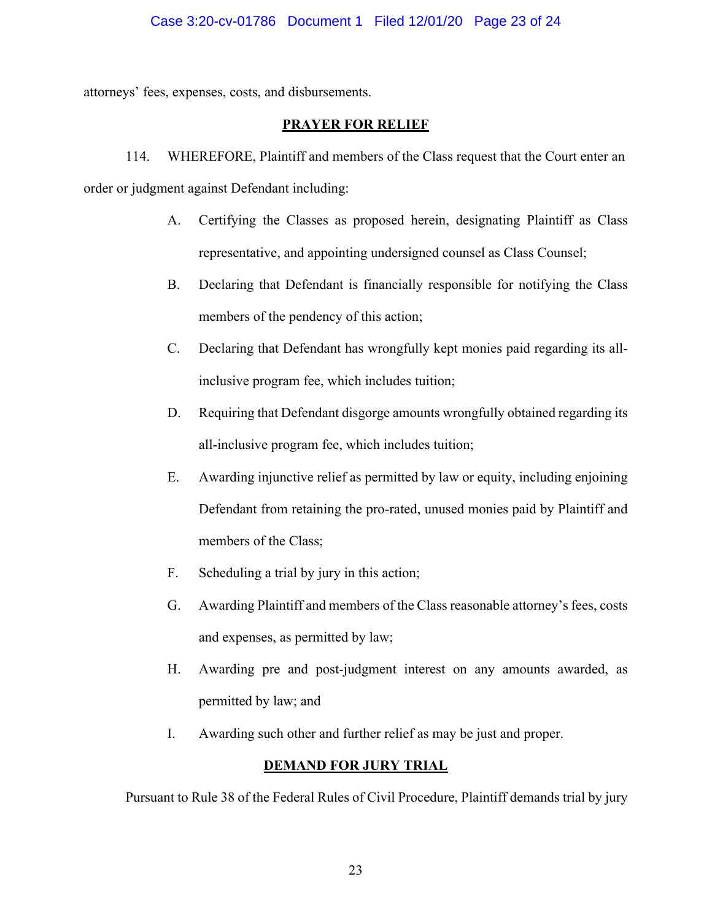attorneys' fees, expenses, costs, and disbursements.

# **PRAYER FOR RELIEF**

114. WHEREFORE, Plaintiff and members of the Class request that the Court enter an order or judgment against Defendant including:

- A. Certifying the Classes as proposed herein, designating Plaintiff as Class representative, and appointing undersigned counsel as Class Counsel;
- B. Declaring that Defendant is financially responsible for notifying the Class members of the pendency of this action;
- C. Declaring that Defendant has wrongfully kept monies paid regarding its allinclusive program fee, which includes tuition;
- D. Requiring that Defendant disgorge amounts wrongfully obtained regarding its all-inclusive program fee, which includes tuition;
- E. Awarding injunctive relief as permitted by law or equity, including enjoining Defendant from retaining the pro-rated, unused monies paid by Plaintiff and members of the Class;
- F. Scheduling a trial by jury in this action;
- G. Awarding Plaintiff and members of the Class reasonable attorney's fees, costs and expenses, as permitted by law;
- H. Awarding pre and post-judgment interest on any amounts awarded, as permitted by law; and
- I. Awarding such other and further relief as may be just and proper.

# **DEMAND FOR JURY TRIAL**

Pursuant to Rule 38 of the Federal Rules of Civil Procedure, Plaintiff demands trial by jury